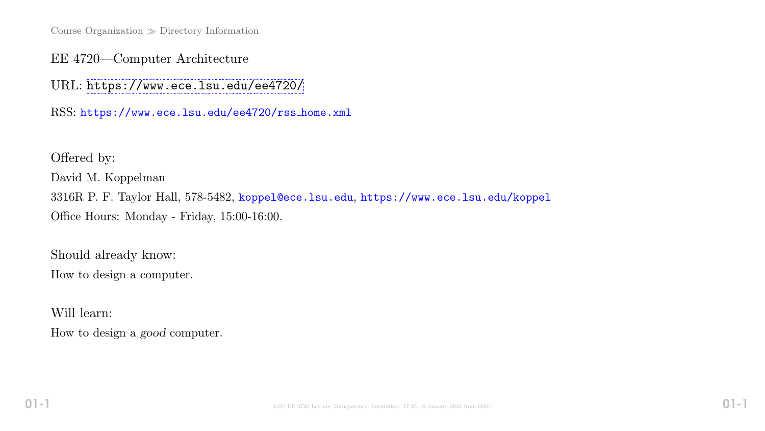Course Organization  $\gg$  Directory Information

EE 4720—Computer Architecture

URL: <https://www.ece.lsu.edu/ee4720/>

RSS: https://www.ece.lsu.edu/ee4720/rss home.xml

Offered by: David M. Koppelman 3316R P. F. Taylor Hall, 578-5482, koppel@ece.lsu.edu, https://www.ece.lsu.edu/koppel Office Hours: Monday - Friday, 15:00-16:00.

Should already know: How to design a computer.

Will learn:

How to design a good computer.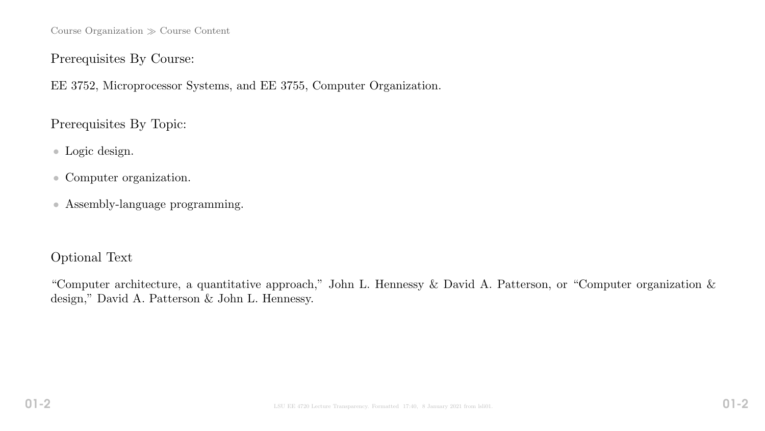Course Organization  $\gg$  Course Content

#### Prerequisites By Course:

EE 3752, Microprocessor Systems, and EE 3755, Computer Organization.

Prerequisites By Topic:

- Logic design.
- Computer organization.
- Assembly-language programming.

## Optional Text

"Computer architecture, a quantitative approach," John L. Hennessy & David A. Patterson, or "Computer organization & design," David A. Patterson & John L. Hennessy.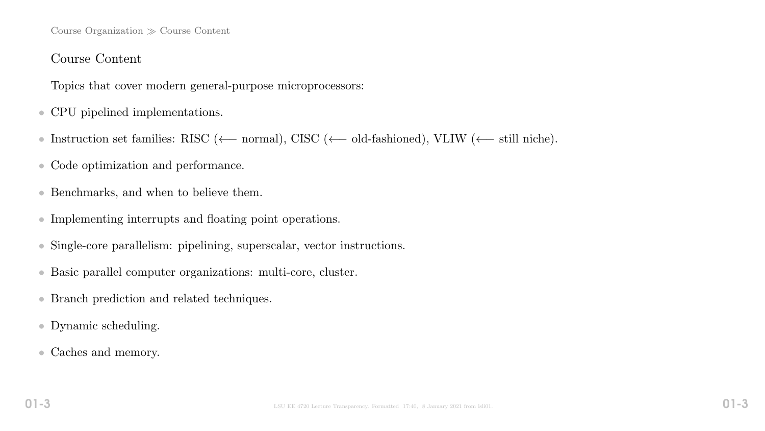#### Course Organization  $\gg$  Course Content

#### Course Content

Topics that cover modern general-purpose microprocessors:

- CPU pipelined implementations.
- Instruction set families: RISC (←− normal), CISC (←− old-fashioned), VLIW (←− still niche).
- Code optimization and performance.
- Benchmarks, and when to believe them.
- Implementing interrupts and floating point operations.
- Single-core parallelism: pipelining, superscalar, vector instructions.
- Basic parallel computer organizations: multi-core, cluster.
- Branch prediction and related techniques.
- Dynamic scheduling.
- Caches and memory.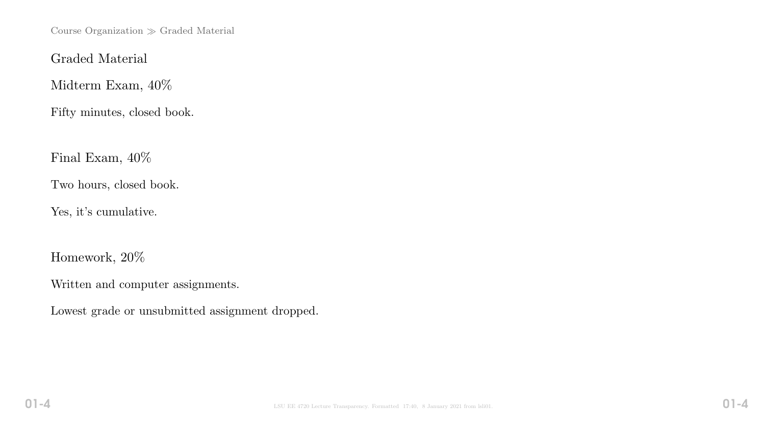Course Organization  $\gg$  Graded Material

Graded Material

Midterm Exam, 40%

Fifty minutes, closed book.

Final Exam, 40%

Two hours, closed book.

Yes, it's cumulative.

Homework, 20%

Written and computer assignments.

Lowest grade or unsubmitted assignment dropped.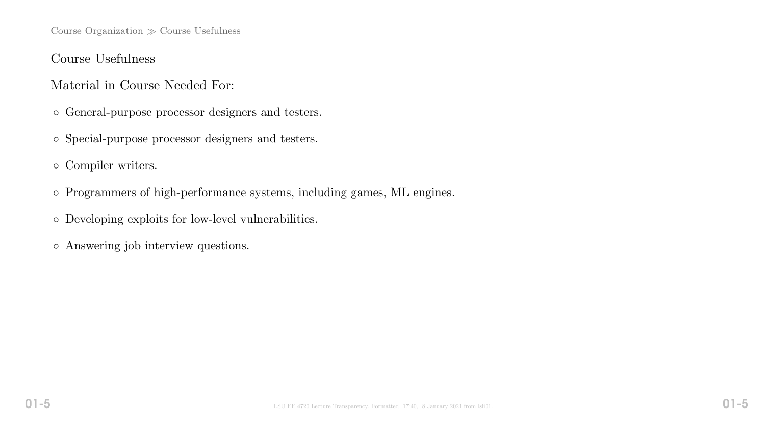Course Organization  $\gg$  Course Usefulness

#### Course Usefulness

#### Material in Course Needed For:

- General-purpose processor designers and testers.
- Special-purpose processor designers and testers.
- Compiler writers.
- Programmers of high-performance systems, including games, ML engines.
- Developing exploits for low-level vulnerabilities.
- Answering job interview questions.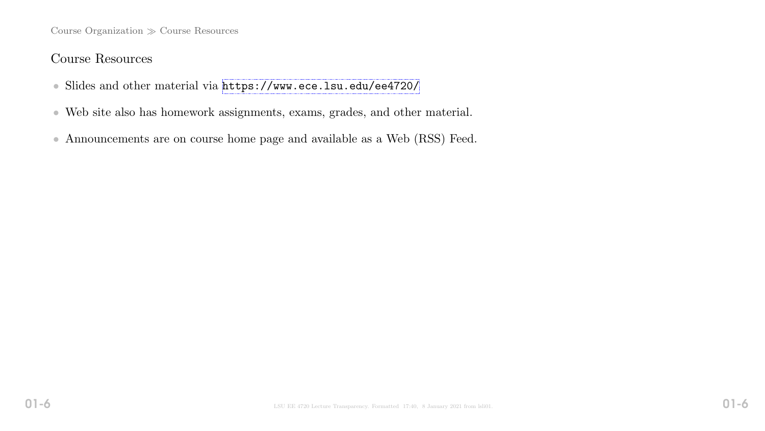Course Organization  $\gg$  Course Resources

## Course Resources

- Slides and other material via <https://www.ece.lsu.edu/ee4720/>
- Web site also has homework assignments, exams, grades, and other material.
- Announcements are on course home page and available as a Web (RSS) Feed.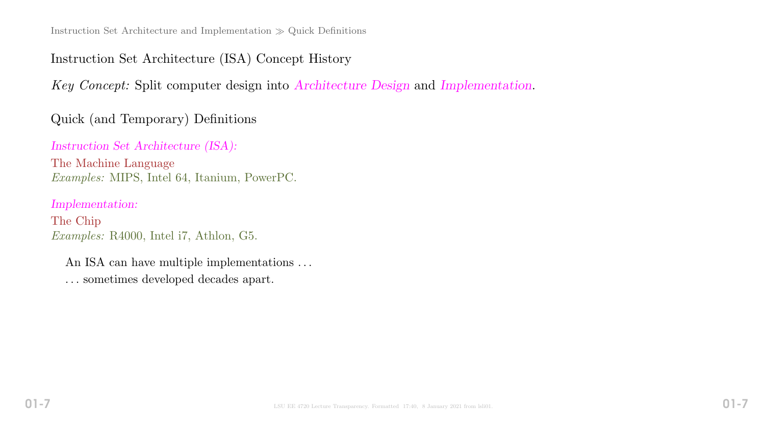# Instruction Set Architecture (ISA) Concept History

Key Concept: Split computer design into Architecture Design and Implementation.

# Quick (and Temporary) Definitions

## Instruction Set Architecture (ISA):

The Machine Language Examples: MIPS, Intel 64, Itanium, PowerPC.

## Implementation:

The Chip Examples: R4000, Intel i7, Athlon, G5.

An ISA can have multiple implementations . . . . . . sometimes developed decades apart.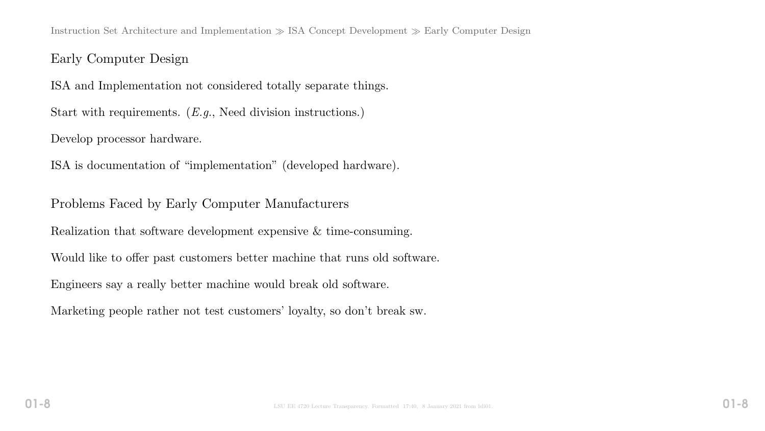Instruction Set Architecture and Implementation  $\gg$  ISA Concept Development  $\gg$  Early Computer Design

#### Early Computer Design

ISA and Implementation not considered totally separate things.

Start with requirements. (*E.g.*, Need division instructions.)

Develop processor hardware.

ISA is documentation of "implementation" (developed hardware).

Problems Faced by Early Computer Manufacturers

Realization that software development expensive & time-consuming.

Would like to offer past customers better machine that runs old software.

Engineers say a really better machine would break old software.

Marketing people rather not test customers' loyalty, so don't break sw.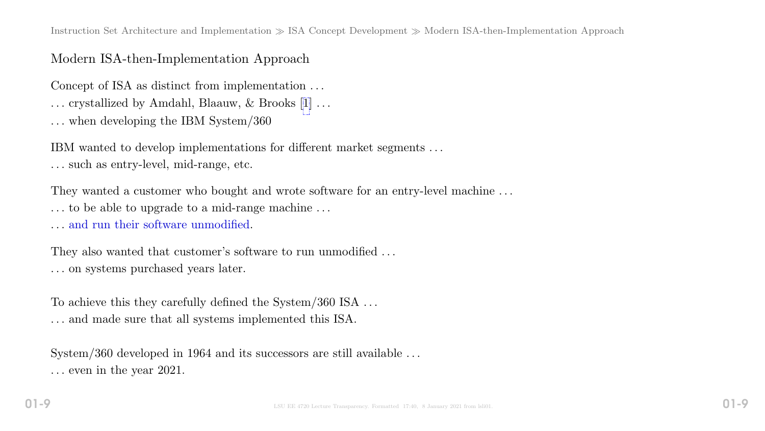Instruction Set Architecture and Implementation  $\gg$  ISA Concept Development  $\gg$  Modern ISA-then-Implementation Approach

## Modern ISA-then-Implementation Approach

Concept of ISA as distinct from implementation . . .

. . . crystallized by Amdahl, Blaauw, & Brooks [[1\]](#page-19-0) . . .

. . . when developing the IBM System/360

IBM wanted to develop implementations for different market segments . . . . . . such as entry-level, mid-range, etc.

They wanted a customer who bought and wrote software for an entry-level machine ... . . . to be able to upgrade to a mid-range machine . . .

. . . and run their software unmodified.

They also wanted that customer's software to run unmodified ... . . . on systems purchased years later.

To achieve this they carefully defined the System/360 ISA  $\dots$ . . . and made sure that all systems implemented this ISA.

System/360 developed in 1964 and its successors are still available ... . . . even in the year 2021.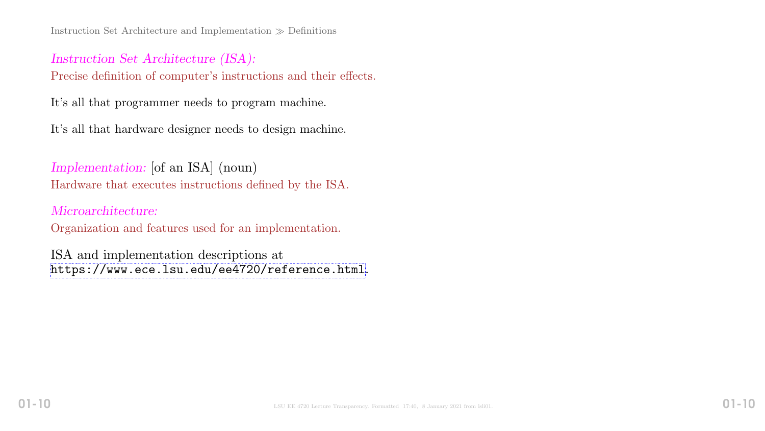Instruction Set Architecture and Implementation  $\gg$  Definitions

## Instruction Set Architecture (ISA): Precise definition of computer's instructions and their effects.

It's all that programmer needs to program machine.

It's all that hardware designer needs to design machine.

Implementation: [of an ISA] (noun) Hardware that executes instructions defined by the ISA.

Microarchitecture: Organization and features used for an implementation.

ISA and implementation descriptions at <https://www.ece.lsu.edu/ee4720/reference.html>.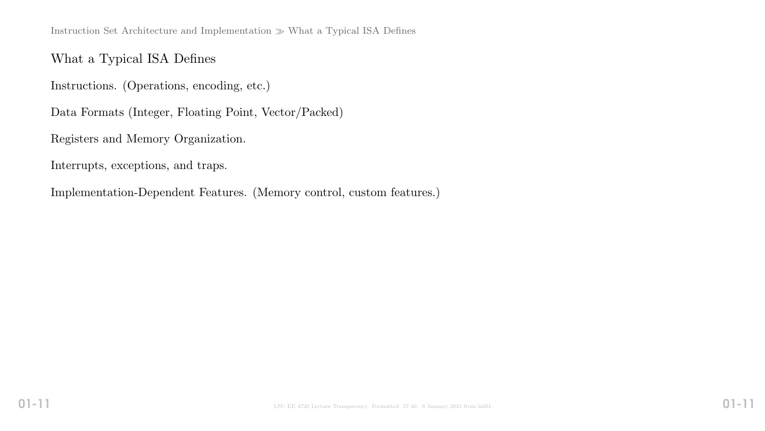Instruction Set Architecture and Implementation  $\gg$  What a Typical ISA Defines

#### What a Typical ISA Defines

Instructions. (Operations, encoding, etc.)

Data Formats (Integer, Floating Point, Vector/Packed)

Registers and Memory Organization.

Interrupts, exceptions, and traps.

Implementation-Dependent Features. (Memory control, custom features.)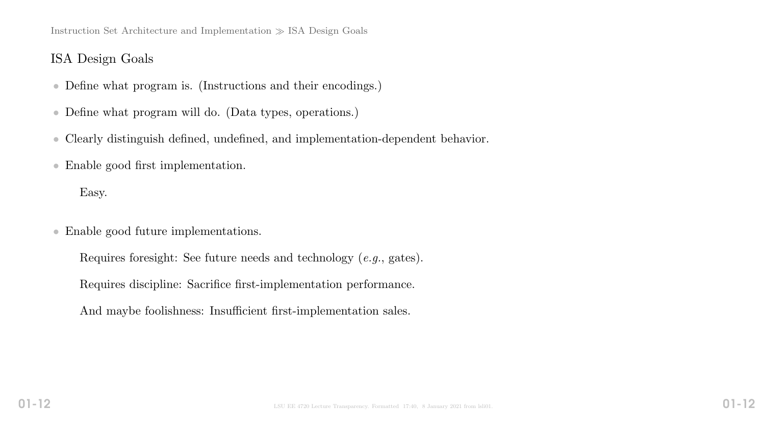Instruction Set Architecture and Implementation  $\gg$  ISA Design Goals

#### ISA Design Goals

- Define what program is. (Instructions and their encodings.)
- Define what program will do. (Data types, operations.)
- Clearly distinguish defined, undefined, and implementation-dependent behavior.
- Enable good first implementation.

Easy.

- Enable good future implementations.
	- Requires foresight: See future needs and technology (e.g., gates).
	- Requires discipline: Sacrifice first-implementation performance.
	- And maybe foolishness: Insufficient first-implementation sales.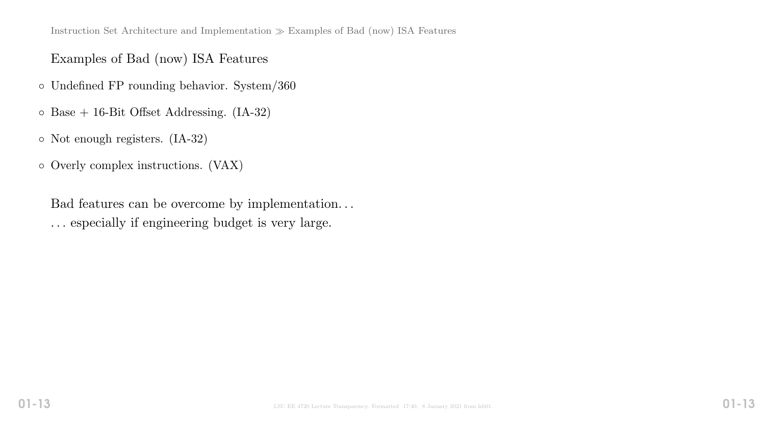## Examples of Bad (now) ISA Features

- Undefined FP rounding behavior. System/360
- Base + 16-Bit Offset Addressing. (IA-32)
- Not enough registers. (IA-32)
- Overly complex instructions. (VAX)

Bad features can be overcome by implementation. . . . . . especially if engineering budget is very large.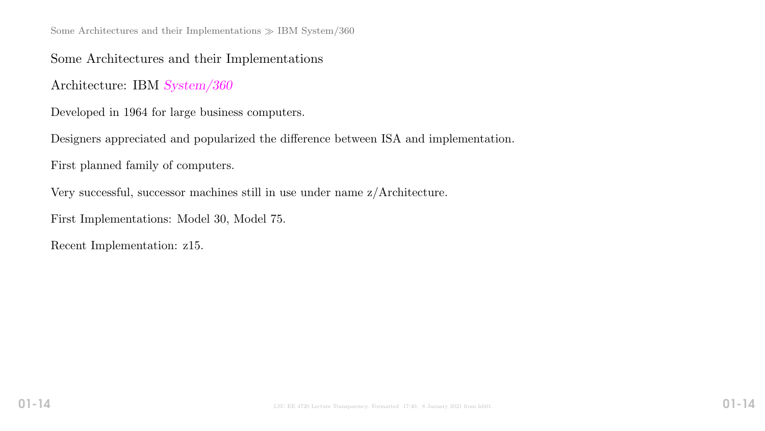Some Architectures and their Implementations  $\gg$  IBM System/360

Some Architectures and their Implementations

Architecture: IBM System/360

Developed in 1964 for large business computers.

Designers appreciated and popularized the difference between ISA and implementation.

First planned family of computers.

Very successful, successor machines still in use under name z/Architecture.

First Implementations: Model 30, Model 75.

Recent Implementation: z15.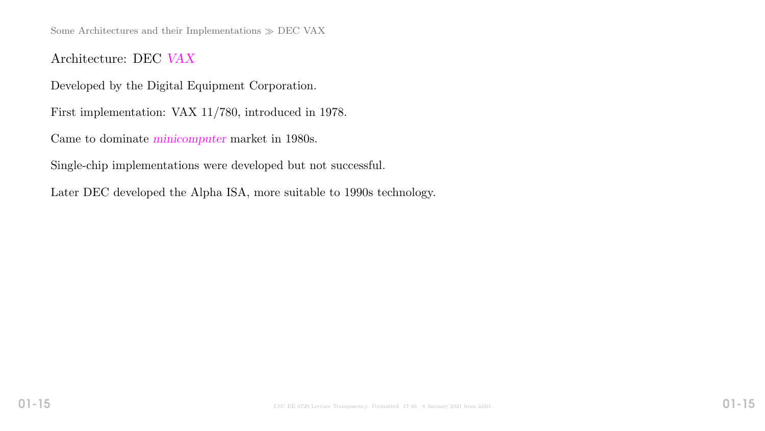Some Architectures and their Implementations  $\gg$  DEC VAX

Architecture: DEC VAX

Developed by the Digital Equipment Corporation.

First implementation: VAX 11/780, introduced in 1978.

Came to dominate minicomputer market in 1980s.

Single-chip implementations were developed but not successful.

Later DEC developed the Alpha ISA, more suitable to 1990s technology.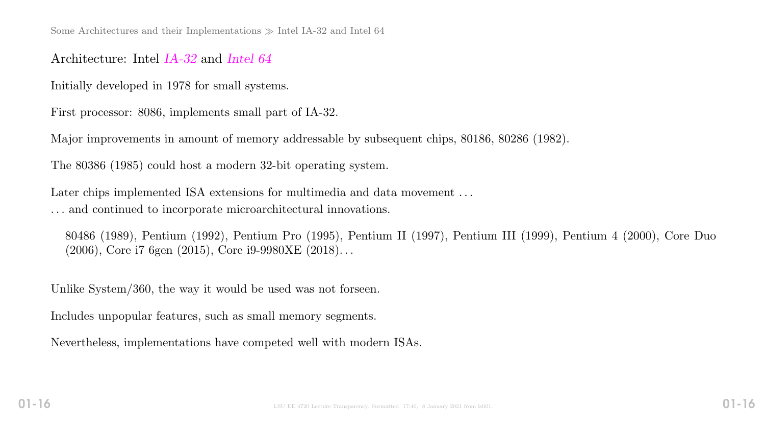#### Architecture: Intel IA-32 and Intel 64

Initially developed in 1978 for small systems.

First processor: 8086, implements small part of IA-32.

Major improvements in amount of memory addressable by subsequent chips, 80186, 80286 (1982).

The 80386 (1985) could host a modern 32-bit operating system.

Later chips implemented ISA extensions for multimedia and data movement ... . . . and continued to incorporate microarchitectural innovations.

80486 (1989), Pentium (1992), Pentium Pro (1995), Pentium II (1997), Pentium III (1999), Pentium 4 (2000), Core Duo (2006), Core i7 6gen (2015), Core i9-9980XE (2018). . .

Unlike System/360, the way it would be used was not forseen.

Includes unpopular features, such as small memory segments.

Nevertheless, implementations have competed well with modern ISAs.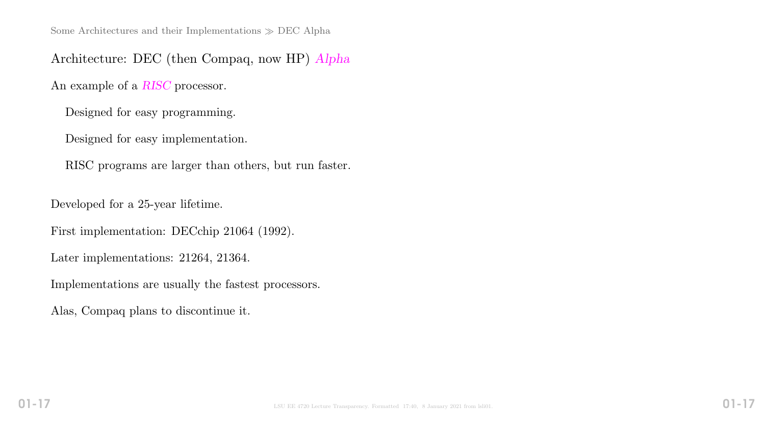Architecture: DEC (then Compaq, now HP) Alpha

An example of a RISC processor.

Designed for easy programming.

Designed for easy implementation.

RISC programs are larger than others, but run faster.

Developed for a 25-year lifetime.

First implementation: DECchip 21064 (1992).

Later implementations: 21264, 21364.

Implementations are usually the fastest processors.

Alas, Compaq plans to discontinue it.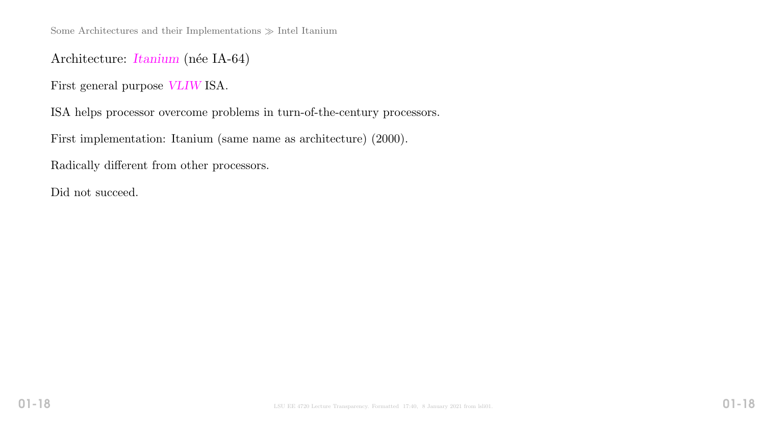Some Architectures and their Implementations  $\gg$  Intel Itanium

#### Architecture: *Itanium* (née IA-64)

First general purpose VLIW ISA.

ISA helps processor overcome problems in turn-of-the-century processors.

First implementation: Itanium (same name as architecture) (2000).

Radically different from other processors.

Did not succeed.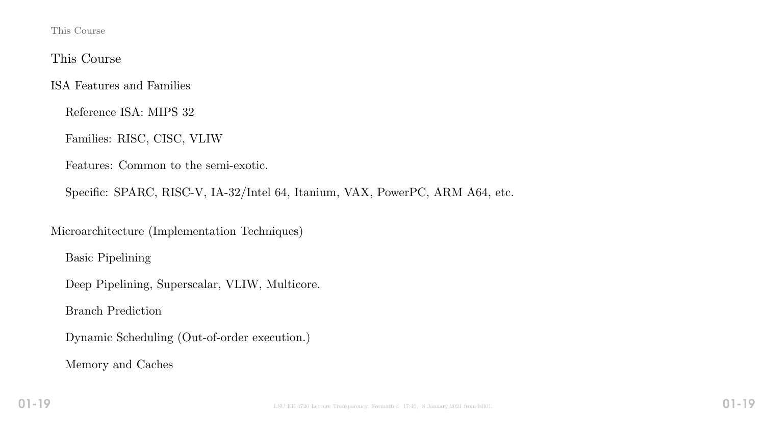This Course

#### This Course

ISA Features and Families

Reference ISA: MIPS 32

Families: RISC, CISC, VLIW

Features: Common to the semi-exotic.

Specific: SPARC, RISC-V, IA-32/Intel 64, Itanium, VAX, PowerPC, ARM A64, etc.

Microarchitecture (Implementation Techniques)

Basic Pipelining

Deep Pipelining, Superscalar, VLIW, Multicore.

Branch Prediction

Dynamic Scheduling (Out-of-order execution.)

Memory and Caches